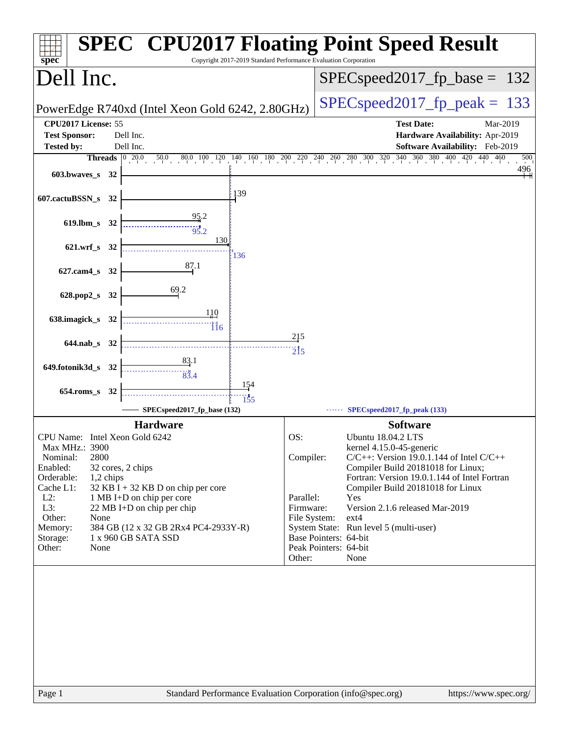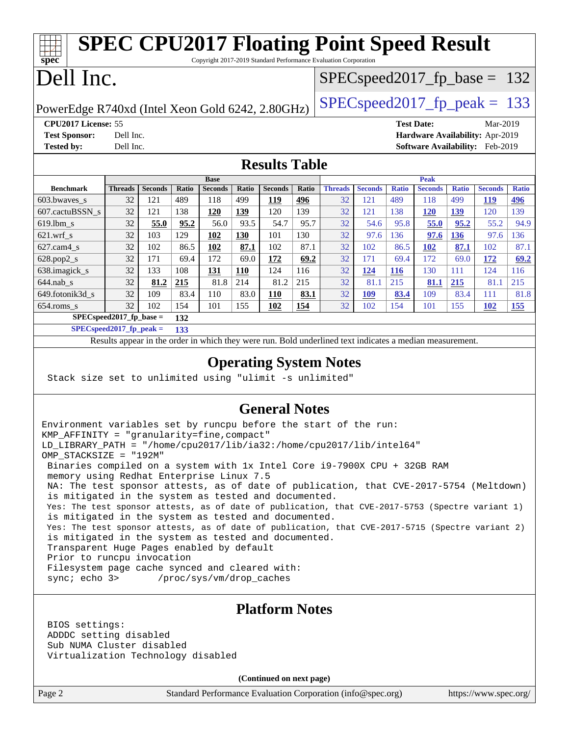| <b>SPEC CPU2017 Floating Point Speed Result</b><br>spec <sup>®</sup><br>Copyright 2017-2019 Standard Performance Evaluation Corporation |                |                |       |                |                                 |                                 |       |                |                |              |                |              |                |              |
|-----------------------------------------------------------------------------------------------------------------------------------------|----------------|----------------|-------|----------------|---------------------------------|---------------------------------|-------|----------------|----------------|--------------|----------------|--------------|----------------|--------------|
| Dell Inc.                                                                                                                               |                |                |       |                |                                 | $SPEC speed2017_fp\_base = 132$ |       |                |                |              |                |              |                |              |
| $SPEC speed2017_fp\_peak = 133$<br>PowerEdge R740xd (Intel Xeon Gold 6242, 2.80GHz)                                                     |                |                |       |                |                                 |                                 |       |                |                |              |                |              |                |              |
| <b>CPU2017 License: 55</b>                                                                                                              |                |                |       |                |                                 | <b>Test Date:</b><br>$Mar-2019$ |       |                |                |              |                |              |                |              |
| <b>Test Sponsor:</b><br>Dell Inc.                                                                                                       |                |                |       |                | Hardware Availability: Apr-2019 |                                 |       |                |                |              |                |              |                |              |
| <b>Tested by:</b><br>Dell Inc.                                                                                                          |                |                |       |                |                                 | Software Availability: Feb-2019 |       |                |                |              |                |              |                |              |
| <b>Results Table</b>                                                                                                                    |                |                |       |                |                                 |                                 |       |                |                |              |                |              |                |              |
| <b>Base</b>                                                                                                                             |                |                |       |                |                                 | <b>Peak</b>                     |       |                |                |              |                |              |                |              |
| <b>Benchmark</b>                                                                                                                        | <b>Threads</b> | <b>Seconds</b> | Ratio | <b>Seconds</b> | Ratio                           | <b>Seconds</b>                  | Ratio | <b>Threads</b> | <b>Seconds</b> | <b>Ratio</b> | <b>Seconds</b> | <b>Ratio</b> | <b>Seconds</b> | <b>Ratio</b> |
| 603.bwayes s                                                                                                                            | 32             | 121            | 489   | 118            | 499                             | 119                             | 496   | 32             | 121            | 489          | 118            | 499          | 119            | 496          |

| 000.0waves s             | $J\mathcal{L}$                                                 | 1 4 1 | 402  | 110  | キフフ  | <u>112</u> | <u> 420</u> | ے د | 141        | 402        | 110        | キフフ        | <u>112</u>      | <u> 420</u> |
|--------------------------|----------------------------------------------------------------|-------|------|------|------|------------|-------------|-----|------------|------------|------------|------------|-----------------|-------------|
| 607.cactuBSSN s          | 32                                                             | 121   | 138  | 120  | 139  | 120        | 139         | 32  | 121        | 138        | <u>120</u> | <u>139</u> | 120             | 139         |
| 619.1bm s                | 32                                                             | 55.0  | 95.2 | 56.0 | 93.5 | 54.7       | 95.7        | 32  | 54.6       | 95.8       | 55.0       | 95.2       | 55.2            | 94.9        |
| $621$ .wrf s             | 32                                                             | 103   | 129  | 102  | 130  | 101        | 130         | 32  | 97.6       | 136        | 97.6       | 136        | 97.6            | 136         |
| $627$ .cam $4 \text{ s}$ | 32                                                             | 102   | 86.5 | 102  | 87.1 | 102        | 87.1        | 32  | 102        | 86.5       | 102        | 87.1       | 102             | 87.1        |
| $628.pop2_s$             | 32                                                             | 171   | 69.4 | 172  | 69.0 | 172        | 69.2        | 32  | 171        | 69.4       | 172        | 69.0       | 172             | 69.2        |
| 638.imagick_s            | 32                                                             | 133   | 108  | 131  | 110  | 124        | 116         | 32  | 124        | <b>116</b> | 130        | 111        | $\overline{24}$ | 116         |
| $644$ .nab s             | 32                                                             | 81.2  | 215  | 81.8 | 214  | 81.2       | 215         | 32  | 81.1       | 215        | 81.1       | 215        | 81.1            | 215         |
| 649.fotonik3d s          | 32                                                             | 109   | 83.4 | 110  | 83.0 | 110        | 83.1        | 32  | <b>109</b> | 83.4       | 109        | 83.4       | 111             | 81.8        |
| $654$ .roms s            | 32                                                             | 102   | 154  | 101  | 155  | 102        | <u>154</u>  | 32  | 102        | 154        | 101        | 155        | 102             | <u>155</u>  |
|                          | $CDFC_{\alpha n}$ $\sim$ $d2017$ fn $h_{\alpha\alpha\alpha}$ = |       | 122  |      |      |            |             |     |            |            |            |            |                 |             |

**[SPECspeed2017\\_fp\\_base =](http://www.spec.org/auto/cpu2017/Docs/result-fields.html#SPECspeed2017fpbase) 132 [SPECspeed2017\\_fp\\_peak =](http://www.spec.org/auto/cpu2017/Docs/result-fields.html#SPECspeed2017fppeak) 133**

Results appear in the [order in which they were run.](http://www.spec.org/auto/cpu2017/Docs/result-fields.html#RunOrder) Bold underlined text [indicates a median measurement](http://www.spec.org/auto/cpu2017/Docs/result-fields.html#Median).

#### **[Operating System Notes](http://www.spec.org/auto/cpu2017/Docs/result-fields.html#OperatingSystemNotes)**

Stack size set to unlimited using "ulimit -s unlimited"

#### **[General Notes](http://www.spec.org/auto/cpu2017/Docs/result-fields.html#GeneralNotes)**

Environment variables set by runcpu before the start of the run: KMP\_AFFINITY = "granularity=fine,compact" LD\_LIBRARY\_PATH = "/home/cpu2017/lib/ia32:/home/cpu2017/lib/intel64" OMP\_STACKSIZE = "192M" Binaries compiled on a system with 1x Intel Core i9-7900X CPU + 32GB RAM memory using Redhat Enterprise Linux 7.5 NA: The test sponsor attests, as of date of publication, that CVE-2017-5754 (Meltdown) is mitigated in the system as tested and documented. Yes: The test sponsor attests, as of date of publication, that CVE-2017-5753 (Spectre variant 1) is mitigated in the system as tested and documented. Yes: The test sponsor attests, as of date of publication, that CVE-2017-5715 (Spectre variant 2) is mitigated in the system as tested and documented. Transparent Huge Pages enabled by default Prior to runcpu invocation Filesystem page cache synced and cleared with: sync; echo 3> /proc/sys/vm/drop\_caches

#### **[Platform Notes](http://www.spec.org/auto/cpu2017/Docs/result-fields.html#PlatformNotes)**

 BIOS settings: ADDDC setting disabled Sub NUMA Cluster disabled Virtualization Technology disabled

**(Continued on next page)**

Page 2 Standard Performance Evaluation Corporation [\(info@spec.org\)](mailto:info@spec.org) <https://www.spec.org/>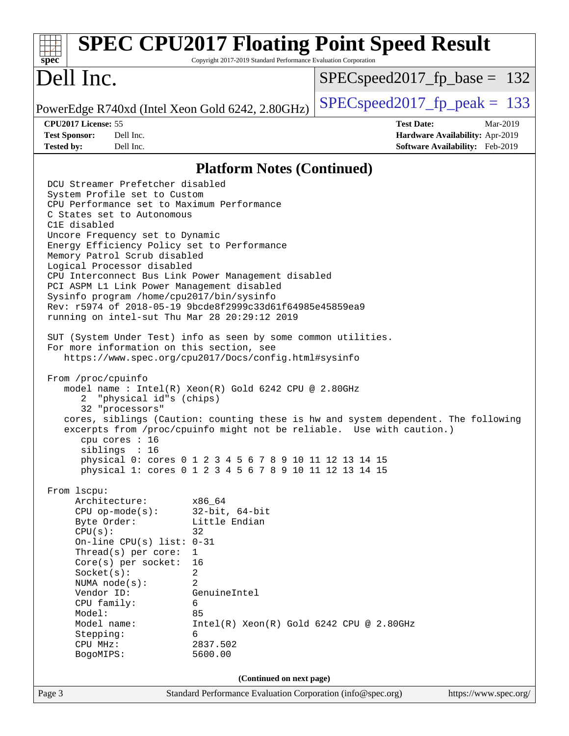#### Page 3 Standard Performance Evaluation Corporation [\(info@spec.org\)](mailto:info@spec.org) <https://www.spec.org/> **[spec](http://www.spec.org/) [SPEC CPU2017 Floating Point Speed Result](http://www.spec.org/auto/cpu2017/Docs/result-fields.html#SPECCPU2017FloatingPointSpeedResult)** Copyright 2017-2019 Standard Performance Evaluation Corporation Dell Inc. PowerEdge R740xd (Intel Xeon Gold 6242, 2.80GHz)  $\left|$  [SPECspeed2017\\_fp\\_peak =](http://www.spec.org/auto/cpu2017/Docs/result-fields.html#SPECspeed2017fppeak) 133 SPECspeed2017 fp base =  $132$ **[CPU2017 License:](http://www.spec.org/auto/cpu2017/Docs/result-fields.html#CPU2017License)** 55 **[Test Date:](http://www.spec.org/auto/cpu2017/Docs/result-fields.html#TestDate)** Mar-2019 **[Test Sponsor:](http://www.spec.org/auto/cpu2017/Docs/result-fields.html#TestSponsor)** Dell Inc. **[Hardware Availability:](http://www.spec.org/auto/cpu2017/Docs/result-fields.html#HardwareAvailability)** Apr-2019 **[Tested by:](http://www.spec.org/auto/cpu2017/Docs/result-fields.html#Testedby)** Dell Inc. **[Software Availability:](http://www.spec.org/auto/cpu2017/Docs/result-fields.html#SoftwareAvailability)** Feb-2019 **[Platform Notes \(Continued\)](http://www.spec.org/auto/cpu2017/Docs/result-fields.html#PlatformNotes)** DCU Streamer Prefetcher disabled System Profile set to Custom CPU Performance set to Maximum Performance C States set to Autonomous C1E disabled Uncore Frequency set to Dynamic Energy Efficiency Policy set to Performance Memory Patrol Scrub disabled Logical Processor disabled CPU Interconnect Bus Link Power Management disabled PCI ASPM L1 Link Power Management disabled Sysinfo program /home/cpu2017/bin/sysinfo Rev: r5974 of 2018-05-19 9bcde8f2999c33d61f64985e45859ea9 running on intel-sut Thu Mar 28 20:29:12 2019 SUT (System Under Test) info as seen by some common utilities. For more information on this section, see <https://www.spec.org/cpu2017/Docs/config.html#sysinfo> From /proc/cpuinfo model name : Intel(R) Xeon(R) Gold 6242 CPU @ 2.80GHz 2 "physical id"s (chips) 32 "processors" cores, siblings (Caution: counting these is hw and system dependent. The following excerpts from /proc/cpuinfo might not be reliable. Use with caution.) cpu cores : 16 siblings : 16 physical 0: cores 0 1 2 3 4 5 6 7 8 9 10 11 12 13 14 15 physical 1: cores 0 1 2 3 4 5 6 7 8 9 10 11 12 13 14 15 From lscpu: Architecture: x86\_64 CPU op-mode(s): 32-bit, 64-bit Byte Order: Little Endian  $CPU(s):$  32 On-line CPU(s) list: 0-31 Thread(s) per core: 1 Core(s) per socket: 16 Socket(s): 2 NUMA node(s): 2 Vendor ID: GenuineIntel CPU family: 6 Model: 85 Model name: Intel(R) Xeon(R) Gold 6242 CPU @ 2.80GHz Stepping: 6 CPU MHz: 2837.502 BogoMIPS: 5600.00 **(Continued on next page)**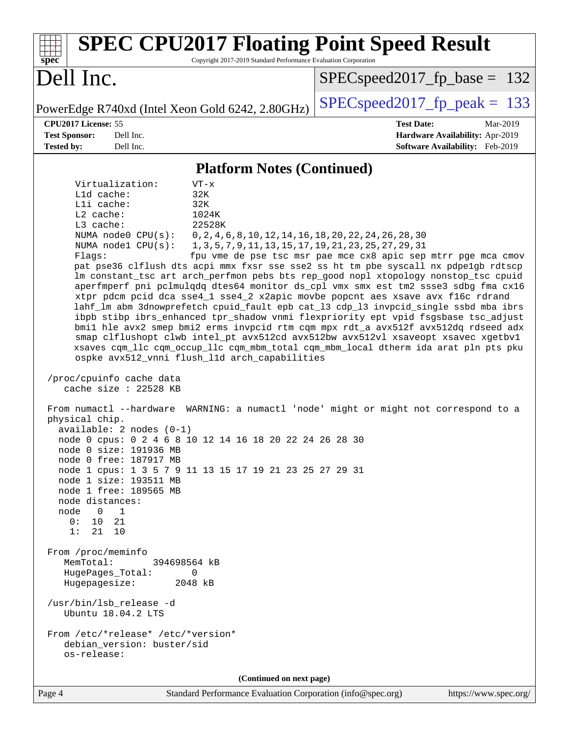| <b>SPEC CPU2017 Floating Point Speed Result</b><br>Copyright 2017-2019 Standard Performance Evaluation Corporation<br>spec <sup>®</sup>                                                                                                                                                                                                                                                                                                                                                                                                                                                                                                                                                                                                                                                                                                                                                                                                                                                                                                                                                                                                                                                                                                                                                                                                                                                                                                                                                                                                                                                                                                                                                                                                                                                                                                                                                                                                                                                                                                  |                                                                                                     |  |  |  |  |  |  |
|------------------------------------------------------------------------------------------------------------------------------------------------------------------------------------------------------------------------------------------------------------------------------------------------------------------------------------------------------------------------------------------------------------------------------------------------------------------------------------------------------------------------------------------------------------------------------------------------------------------------------------------------------------------------------------------------------------------------------------------------------------------------------------------------------------------------------------------------------------------------------------------------------------------------------------------------------------------------------------------------------------------------------------------------------------------------------------------------------------------------------------------------------------------------------------------------------------------------------------------------------------------------------------------------------------------------------------------------------------------------------------------------------------------------------------------------------------------------------------------------------------------------------------------------------------------------------------------------------------------------------------------------------------------------------------------------------------------------------------------------------------------------------------------------------------------------------------------------------------------------------------------------------------------------------------------------------------------------------------------------------------------------------------------|-----------------------------------------------------------------------------------------------------|--|--|--|--|--|--|
| Dell Inc.                                                                                                                                                                                                                                                                                                                                                                                                                                                                                                                                                                                                                                                                                                                                                                                                                                                                                                                                                                                                                                                                                                                                                                                                                                                                                                                                                                                                                                                                                                                                                                                                                                                                                                                                                                                                                                                                                                                                                                                                                                | $SPEC speed2017_fp\_base = 132$                                                                     |  |  |  |  |  |  |
| PowerEdge R740xd (Intel Xeon Gold 6242, 2.80GHz)                                                                                                                                                                                                                                                                                                                                                                                                                                                                                                                                                                                                                                                                                                                                                                                                                                                                                                                                                                                                                                                                                                                                                                                                                                                                                                                                                                                                                                                                                                                                                                                                                                                                                                                                                                                                                                                                                                                                                                                         | $SPEC speed2017_fp\_peak = 133$                                                                     |  |  |  |  |  |  |
| CPU2017 License: 55<br><b>Test Sponsor:</b><br>Dell Inc.<br><b>Tested by:</b><br>Dell Inc.                                                                                                                                                                                                                                                                                                                                                                                                                                                                                                                                                                                                                                                                                                                                                                                                                                                                                                                                                                                                                                                                                                                                                                                                                                                                                                                                                                                                                                                                                                                                                                                                                                                                                                                                                                                                                                                                                                                                               | <b>Test Date:</b><br>Mar-2019<br>Hardware Availability: Apr-2019<br>Software Availability: Feb-2019 |  |  |  |  |  |  |
|                                                                                                                                                                                                                                                                                                                                                                                                                                                                                                                                                                                                                                                                                                                                                                                                                                                                                                                                                                                                                                                                                                                                                                                                                                                                                                                                                                                                                                                                                                                                                                                                                                                                                                                                                                                                                                                                                                                                                                                                                                          |                                                                                                     |  |  |  |  |  |  |
| <b>Platform Notes (Continued)</b><br>Virtualization:<br>$VT - x$<br>L1d cache:<br>32K<br>Lli cache:<br>32K<br>L2 cache:<br>1024K<br>22528K<br>L3 cache:<br>NUMA node0 CPU(s):<br>0, 2, 4, 6, 8, 10, 12, 14, 16, 18, 20, 22, 24, 26, 28, 30<br>NUMA $node1$ $CPU(s):$<br>1, 3, 5, 7, 9, 11, 13, 15, 17, 19, 21, 23, 25, 27, 29, 31<br>Flags:<br>fpu vme de pse tsc msr pae mce cx8 apic sep mtrr pge mca cmov<br>pat pse36 clflush dts acpi mmx fxsr sse sse2 ss ht tm pbe syscall nx pdpelgb rdtscp<br>lm constant_tsc art arch_perfmon pebs bts rep_good nopl xtopology nonstop_tsc cpuid<br>aperfmperf pni pclmulqdq dtes64 monitor ds_cpl vmx smx est tm2 ssse3 sdbg fma cx16<br>xtpr pdcm pcid dca sse4_1 sse4_2 x2apic movbe popcnt aes xsave avx f16c rdrand<br>lahf_lm abm 3dnowprefetch cpuid_fault epb cat_13 cdp_13 invpcid_single ssbd mba ibrs<br>ibpb stibp ibrs_enhanced tpr_shadow vnmi flexpriority ept vpid fsgsbase tsc_adjust<br>bmil hle avx2 smep bmi2 erms invpcid rtm cqm mpx rdt_a avx512f avx512dq rdseed adx<br>smap clflushopt clwb intel_pt avx512cd avx512bw avx512vl xsaveopt xsavec xgetbvl<br>xsaves cqm_llc cqm_occup_llc cqm_mbm_total cqm_mbm_local dtherm ida arat pln pts pku<br>ospke avx512_vnni flush_l1d arch_capabilities<br>/proc/cpuinfo cache data<br>cache size : 22528 KB<br>From numactl --hardware WARNING: a numactl 'node' might or might not correspond to a<br>physical chip.<br>$available: 2 nodes (0-1)$<br>node 0 cpus: 0 2 4 6 8 10 12 14 16 18 20 22 24 26 28 30<br>node 0 size: 191936 MB<br>node 0 free: 187917 MB<br>node 1 cpus: 1 3 5 7 9 11 13 15 17 19 21 23 25 27 29 31<br>node 1 size: 193511 MB<br>node 1 free: 189565 MB<br>node distances:<br>node<br>$\overline{0}$<br>$\overline{\phantom{1}}$<br>0:<br>10<br>21<br>1:<br>21<br>10<br>From /proc/meminfo<br>MemTotal:<br>394698564 kB<br>HugePages_Total:<br>0<br>Hugepagesize:<br>2048 kB<br>/usr/bin/lsb_release -d<br>Ubuntu 18.04.2 LTS<br>From /etc/*release* /etc/*version*<br>debian_version: buster/sid |                                                                                                     |  |  |  |  |  |  |
| (Continued on next page)<br>Standard Performance Evaluation Corporation (info@spec.org)<br>Pa                                                                                                                                                                                                                                                                                                                                                                                                                                                                                                                                                                                                                                                                                                                                                                                                                                                                                                                                                                                                                                                                                                                                                                                                                                                                                                                                                                                                                                                                                                                                                                                                                                                                                                                                                                                                                                                                                                                                            | https://www.spec.org/                                                                               |  |  |  |  |  |  |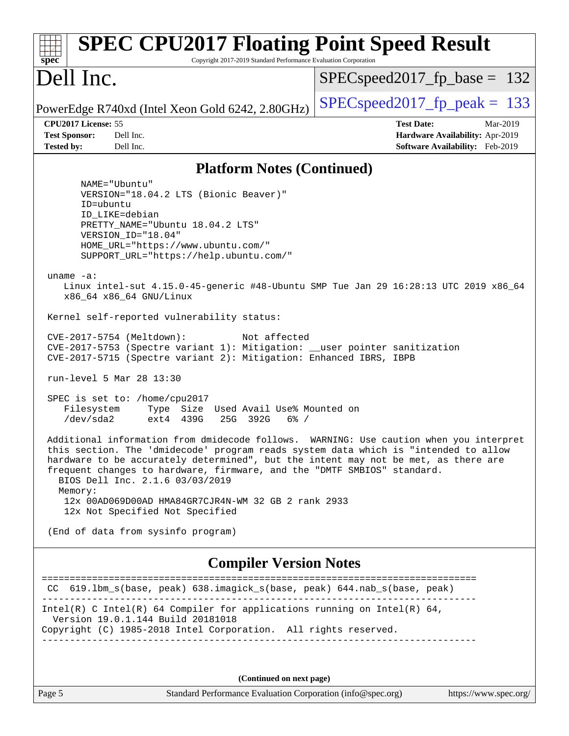| <b>SPEC CPU2017 Floating Point Speed Result</b><br>Copyright 2017-2019 Standard Performance Evaluation Corporation<br>$spec^*$                                                                                                                                                                                                                                                                                                                                                                                                                                                                                                                                                                                                                                                                                                                                                                                                                                                                                                                                                                                                                                                                                                                                                                                        |                                                                                                     |
|-----------------------------------------------------------------------------------------------------------------------------------------------------------------------------------------------------------------------------------------------------------------------------------------------------------------------------------------------------------------------------------------------------------------------------------------------------------------------------------------------------------------------------------------------------------------------------------------------------------------------------------------------------------------------------------------------------------------------------------------------------------------------------------------------------------------------------------------------------------------------------------------------------------------------------------------------------------------------------------------------------------------------------------------------------------------------------------------------------------------------------------------------------------------------------------------------------------------------------------------------------------------------------------------------------------------------|-----------------------------------------------------------------------------------------------------|
| Dell Inc.                                                                                                                                                                                                                                                                                                                                                                                                                                                                                                                                                                                                                                                                                                                                                                                                                                                                                                                                                                                                                                                                                                                                                                                                                                                                                                             | $SPEC speed2017_fp\_base = 132$                                                                     |
| PowerEdge R740xd (Intel Xeon Gold 6242, 2.80GHz)                                                                                                                                                                                                                                                                                                                                                                                                                                                                                                                                                                                                                                                                                                                                                                                                                                                                                                                                                                                                                                                                                                                                                                                                                                                                      | $SPEC speed2017_fp\_peak = 133$                                                                     |
| CPU2017 License: 55<br><b>Test Sponsor:</b><br>Dell Inc.<br><b>Tested by:</b><br>Dell Inc.                                                                                                                                                                                                                                                                                                                                                                                                                                                                                                                                                                                                                                                                                                                                                                                                                                                                                                                                                                                                                                                                                                                                                                                                                            | <b>Test Date:</b><br>Mar-2019<br>Hardware Availability: Apr-2019<br>Software Availability: Feb-2019 |
| <b>Platform Notes (Continued)</b>                                                                                                                                                                                                                                                                                                                                                                                                                                                                                                                                                                                                                                                                                                                                                                                                                                                                                                                                                                                                                                                                                                                                                                                                                                                                                     |                                                                                                     |
| NAME="Ubuntu"<br>VERSION="18.04.2 LTS (Bionic Beaver)"<br>ID=ubuntu<br>ID LIKE=debian<br>PRETTY_NAME="Ubuntu 18.04.2 LTS"<br>VERSION_ID="18.04"<br>HOME_URL="https://www.ubuntu.com/"<br>SUPPORT_URL="https://help.ubuntu.com/"<br>uname $-a$ :<br>Linux intel-sut 4.15.0-45-generic #48-Ubuntu SMP Tue Jan 29 16:28:13 UTC 2019 x86_64<br>x86_64 x86_64 GNU/Linux<br>Kernel self-reported vulnerability status:<br>CVE-2017-5754 (Meltdown):<br>Not affected<br>CVE-2017-5753 (Spectre variant 1): Mitigation: __user pointer sanitization<br>CVE-2017-5715 (Spectre variant 2): Mitigation: Enhanced IBRS, IBPB<br>run-level 5 Mar 28 13:30<br>SPEC is set to: /home/cpu2017<br>Filesystem<br>Type Size Used Avail Use% Mounted on<br>/dev/sda2<br>ext4 439G<br>25G 392G<br>$6\%$ /<br>Additional information from dmidecode follows. WARNING: Use caution when you interpret<br>this section. The 'dmidecode' program reads system data which is "intended to allow<br>hardware to be accurately determined", but the intent may not be met, as there are<br>frequent changes to hardware, firmware, and the "DMTF SMBIOS" standard.<br>BIOS Dell Inc. 2.1.6 03/03/2019<br>Memory:<br>12x 00AD069D00AD HMA84GR7CJR4N-WM 32 GB 2 rank 2933<br>12x Not Specified Not Specified<br>(End of data from sysinfo program) |                                                                                                     |
| <b>Compiler Version Notes</b>                                                                                                                                                                                                                                                                                                                                                                                                                                                                                                                                                                                                                                                                                                                                                                                                                                                                                                                                                                                                                                                                                                                                                                                                                                                                                         |                                                                                                     |
| CC 619.1bm_s(base, peak) 638.imagick_s(base, peak) 644.nab_s(base, peak)                                                                                                                                                                                                                                                                                                                                                                                                                                                                                                                                                                                                                                                                                                                                                                                                                                                                                                                                                                                                                                                                                                                                                                                                                                              |                                                                                                     |
| Intel(R) C Intel(R) 64 Compiler for applications running on Intel(R) 64,<br>Version 19.0.1.144 Build 20181018<br>Copyright (C) 1985-2018 Intel Corporation. All rights reserved.                                                                                                                                                                                                                                                                                                                                                                                                                                                                                                                                                                                                                                                                                                                                                                                                                                                                                                                                                                                                                                                                                                                                      |                                                                                                     |
| (Continued on next page)                                                                                                                                                                                                                                                                                                                                                                                                                                                                                                                                                                                                                                                                                                                                                                                                                                                                                                                                                                                                                                                                                                                                                                                                                                                                                              |                                                                                                     |
| Page 5<br>Standard Performance Evaluation Corporation (info@spec.org)                                                                                                                                                                                                                                                                                                                                                                                                                                                                                                                                                                                                                                                                                                                                                                                                                                                                                                                                                                                                                                                                                                                                                                                                                                                 | https://www.spec.org/                                                                               |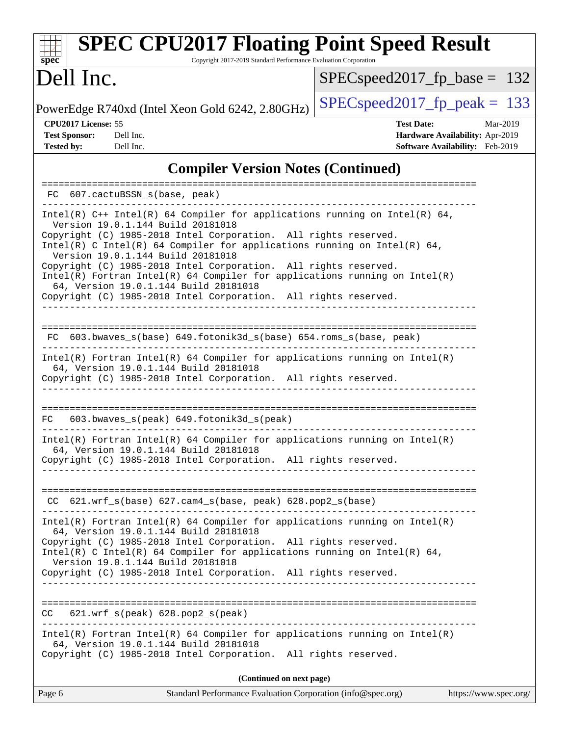#### **[spec](http://www.spec.org/) [SPEC CPU2017 Floating Point Speed Result](http://www.spec.org/auto/cpu2017/Docs/result-fields.html#SPECCPU2017FloatingPointSpeedResult)** Copyright 2017-2019 Standard Performance Evaluation Corporation Dell Inc. PowerEdge R740xd (Intel Xeon Gold 6242, 2.80GHz)  $\left|$  [SPECspeed2017\\_fp\\_peak =](http://www.spec.org/auto/cpu2017/Docs/result-fields.html#SPECspeed2017fppeak) 133 SPECspeed2017 fp base =  $132$ **[CPU2017 License:](http://www.spec.org/auto/cpu2017/Docs/result-fields.html#CPU2017License)** 55 **[Test Date:](http://www.spec.org/auto/cpu2017/Docs/result-fields.html#TestDate)** Mar-2019 **[Test Sponsor:](http://www.spec.org/auto/cpu2017/Docs/result-fields.html#TestSponsor)** Dell Inc. **[Hardware Availability:](http://www.spec.org/auto/cpu2017/Docs/result-fields.html#HardwareAvailability)** Apr-2019 **[Tested by:](http://www.spec.org/auto/cpu2017/Docs/result-fields.html#Testedby)** Dell Inc. **[Software Availability:](http://www.spec.org/auto/cpu2017/Docs/result-fields.html#SoftwareAvailability)** Feb-2019 **[Compiler Version Notes \(Continued\)](http://www.spec.org/auto/cpu2017/Docs/result-fields.html#CompilerVersionNotes)** ============================================================================== FC 607.cactuBSSN\_s(base, peak) ------------------------------------------------------------------------------ Intel(R) C++ Intel(R) 64 Compiler for applications running on Intel(R)  $64$ , Version 19.0.1.144 Build 20181018 Copyright (C) 1985-2018 Intel Corporation. All rights reserved. Intel(R) C Intel(R) 64 Compiler for applications running on Intel(R) 64, Version 19.0.1.144 Build 20181018 Copyright (C) 1985-2018 Intel Corporation. All rights reserved. Intel(R) Fortran Intel(R) 64 Compiler for applications running on Intel(R) 64, Version 19.0.1.144 Build 20181018 Copyright (C) 1985-2018 Intel Corporation. All rights reserved. ------------------------------------------------------------------------------ ============================================================================== FC 603.bwaves\_s(base) 649.fotonik3d\_s(base) 654.roms\_s(base, peak) ------------------------------------------------------------------------------ Intel(R) Fortran Intel(R) 64 Compiler for applications running on Intel(R) 64, Version 19.0.1.144 Build 20181018 Copyright (C) 1985-2018 Intel Corporation. All rights reserved. ------------------------------------------------------------------------------ ==============================================================================  $FC$  603.bwaves  $s(peak)$  649.fotonik3d  $s(peak)$ ------------------------------------------------------------------------------ Intel(R) Fortran Intel(R) 64 Compiler for applications running on Intel(R) 64, Version 19.0.1.144 Build 20181018

Copyright (C) 1985-2018 Intel Corporation. All rights reserved. ------------------------------------------------------------------------------

============================================================================== CC 621.wrf\_s(base) 627.cam4\_s(base, peak) 628.pop2\_s(base) ------------------------------------------------------------------------------

Intel(R) Fortran Intel(R) 64 Compiler for applications running on Intel(R) 64, Version 19.0.1.144 Build 20181018 Copyright (C) 1985-2018 Intel Corporation. All rights reserved.

Intel(R) C Intel(R) 64 Compiler for applications running on Intel(R)  $64$ , Version 19.0.1.144 Build 20181018

Copyright (C) 1985-2018 Intel Corporation. All rights reserved. ------------------------------------------------------------------------------

============================================================================== CC 621.wrf\_s(peak) 628.pop2\_s(peak) ------------------------------------------------------------------------------

Intel(R) Fortran Intel(R) 64 Compiler for applications running on Intel(R) 64, Version 19.0.1.144 Build 20181018 Copyright (C) 1985-2018 Intel Corporation. All rights reserved.

**(Continued on next page)**

| Page 6<br>Standard Performance Evaluation Corporation (info@spec.org) |  | https://www.spec.org/ |
|-----------------------------------------------------------------------|--|-----------------------|
|-----------------------------------------------------------------------|--|-----------------------|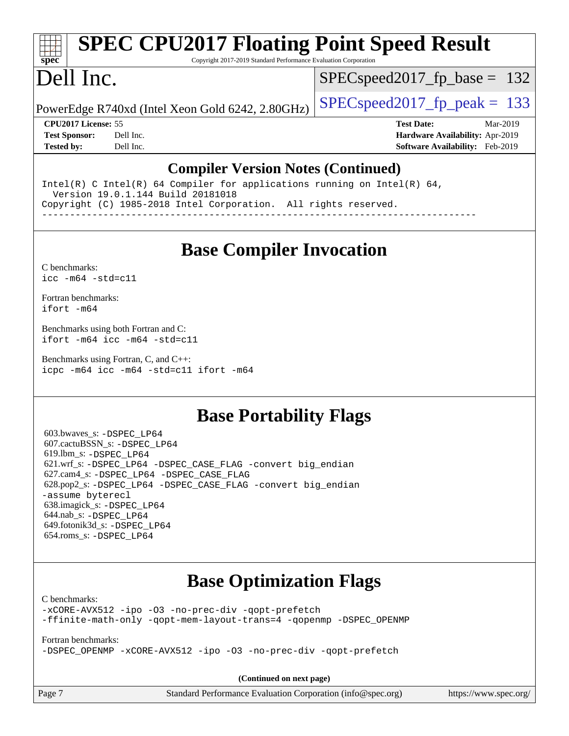# **[SPEC CPU2017 Floating Point Speed Result](http://www.spec.org/auto/cpu2017/Docs/result-fields.html#SPECCPU2017FloatingPointSpeedResult)**

Copyright 2017-2019 Standard Performance Evaluation Corporation

# Dell Inc.

**[spec](http://www.spec.org/)**

SPECspeed2017 fp base =  $132$ 

PowerEdge R740xd (Intel Xeon Gold 6242, 2.80GHz)  $\left|$  [SPECspeed2017\\_fp\\_peak =](http://www.spec.org/auto/cpu2017/Docs/result-fields.html#SPECspeed2017fppeak) 133

**[CPU2017 License:](http://www.spec.org/auto/cpu2017/Docs/result-fields.html#CPU2017License)** 55 **[Test Date:](http://www.spec.org/auto/cpu2017/Docs/result-fields.html#TestDate)** Mar-2019 **[Test Sponsor:](http://www.spec.org/auto/cpu2017/Docs/result-fields.html#TestSponsor)** Dell Inc. **[Hardware Availability:](http://www.spec.org/auto/cpu2017/Docs/result-fields.html#HardwareAvailability)** Apr-2019 **[Tested by:](http://www.spec.org/auto/cpu2017/Docs/result-fields.html#Testedby)** Dell Inc. **[Software Availability:](http://www.spec.org/auto/cpu2017/Docs/result-fields.html#SoftwareAvailability)** Feb-2019

#### **[Compiler Version Notes \(Continued\)](http://www.spec.org/auto/cpu2017/Docs/result-fields.html#CompilerVersionNotes)**

Intel(R) C Intel(R) 64 Compiler for applications running on Intel(R)  $64$ , Version 19.0.1.144 Build 20181018 Copyright (C) 1985-2018 Intel Corporation. All rights reserved. ------------------------------------------------------------------------------

**[Base Compiler Invocation](http://www.spec.org/auto/cpu2017/Docs/result-fields.html#BaseCompilerInvocation)**

[C benchmarks](http://www.spec.org/auto/cpu2017/Docs/result-fields.html#Cbenchmarks): [icc -m64 -std=c11](http://www.spec.org/cpu2017/results/res2019q3/cpu2017-20190624-15431.flags.html#user_CCbase_intel_icc_64bit_c11_33ee0cdaae7deeeab2a9725423ba97205ce30f63b9926c2519791662299b76a0318f32ddfffdc46587804de3178b4f9328c46fa7c2b0cd779d7a61945c91cd35)

[Fortran benchmarks](http://www.spec.org/auto/cpu2017/Docs/result-fields.html#Fortranbenchmarks): [ifort -m64](http://www.spec.org/cpu2017/results/res2019q3/cpu2017-20190624-15431.flags.html#user_FCbase_intel_ifort_64bit_24f2bb282fbaeffd6157abe4f878425411749daecae9a33200eee2bee2fe76f3b89351d69a8130dd5949958ce389cf37ff59a95e7a40d588e8d3a57e0c3fd751)

[Benchmarks using both Fortran and C](http://www.spec.org/auto/cpu2017/Docs/result-fields.html#BenchmarksusingbothFortranandC): [ifort -m64](http://www.spec.org/cpu2017/results/res2019q3/cpu2017-20190624-15431.flags.html#user_CC_FCbase_intel_ifort_64bit_24f2bb282fbaeffd6157abe4f878425411749daecae9a33200eee2bee2fe76f3b89351d69a8130dd5949958ce389cf37ff59a95e7a40d588e8d3a57e0c3fd751) [icc -m64 -std=c11](http://www.spec.org/cpu2017/results/res2019q3/cpu2017-20190624-15431.flags.html#user_CC_FCbase_intel_icc_64bit_c11_33ee0cdaae7deeeab2a9725423ba97205ce30f63b9926c2519791662299b76a0318f32ddfffdc46587804de3178b4f9328c46fa7c2b0cd779d7a61945c91cd35)

[Benchmarks using Fortran, C, and C++:](http://www.spec.org/auto/cpu2017/Docs/result-fields.html#BenchmarksusingFortranCandCXX) [icpc -m64](http://www.spec.org/cpu2017/results/res2019q3/cpu2017-20190624-15431.flags.html#user_CC_CXX_FCbase_intel_icpc_64bit_4ecb2543ae3f1412ef961e0650ca070fec7b7afdcd6ed48761b84423119d1bf6bdf5cad15b44d48e7256388bc77273b966e5eb805aefd121eb22e9299b2ec9d9) [icc -m64 -std=c11](http://www.spec.org/cpu2017/results/res2019q3/cpu2017-20190624-15431.flags.html#user_CC_CXX_FCbase_intel_icc_64bit_c11_33ee0cdaae7deeeab2a9725423ba97205ce30f63b9926c2519791662299b76a0318f32ddfffdc46587804de3178b4f9328c46fa7c2b0cd779d7a61945c91cd35) [ifort -m64](http://www.spec.org/cpu2017/results/res2019q3/cpu2017-20190624-15431.flags.html#user_CC_CXX_FCbase_intel_ifort_64bit_24f2bb282fbaeffd6157abe4f878425411749daecae9a33200eee2bee2fe76f3b89351d69a8130dd5949958ce389cf37ff59a95e7a40d588e8d3a57e0c3fd751)

### **[Base Portability Flags](http://www.spec.org/auto/cpu2017/Docs/result-fields.html#BasePortabilityFlags)**

 603.bwaves\_s: [-DSPEC\\_LP64](http://www.spec.org/cpu2017/results/res2019q3/cpu2017-20190624-15431.flags.html#suite_basePORTABILITY603_bwaves_s_DSPEC_LP64) 607.cactuBSSN\_s: [-DSPEC\\_LP64](http://www.spec.org/cpu2017/results/res2019q3/cpu2017-20190624-15431.flags.html#suite_basePORTABILITY607_cactuBSSN_s_DSPEC_LP64) 619.lbm\_s: [-DSPEC\\_LP64](http://www.spec.org/cpu2017/results/res2019q3/cpu2017-20190624-15431.flags.html#suite_basePORTABILITY619_lbm_s_DSPEC_LP64) 621.wrf\_s: [-DSPEC\\_LP64](http://www.spec.org/cpu2017/results/res2019q3/cpu2017-20190624-15431.flags.html#suite_basePORTABILITY621_wrf_s_DSPEC_LP64) [-DSPEC\\_CASE\\_FLAG](http://www.spec.org/cpu2017/results/res2019q3/cpu2017-20190624-15431.flags.html#b621.wrf_s_baseCPORTABILITY_DSPEC_CASE_FLAG) [-convert big\\_endian](http://www.spec.org/cpu2017/results/res2019q3/cpu2017-20190624-15431.flags.html#user_baseFPORTABILITY621_wrf_s_convert_big_endian_c3194028bc08c63ac5d04de18c48ce6d347e4e562e8892b8bdbdc0214820426deb8554edfa529a3fb25a586e65a3d812c835984020483e7e73212c4d31a38223) 627.cam4\_s: [-DSPEC\\_LP64](http://www.spec.org/cpu2017/results/res2019q3/cpu2017-20190624-15431.flags.html#suite_basePORTABILITY627_cam4_s_DSPEC_LP64) [-DSPEC\\_CASE\\_FLAG](http://www.spec.org/cpu2017/results/res2019q3/cpu2017-20190624-15431.flags.html#b627.cam4_s_baseCPORTABILITY_DSPEC_CASE_FLAG) 628.pop2\_s: [-DSPEC\\_LP64](http://www.spec.org/cpu2017/results/res2019q3/cpu2017-20190624-15431.flags.html#suite_basePORTABILITY628_pop2_s_DSPEC_LP64) [-DSPEC\\_CASE\\_FLAG](http://www.spec.org/cpu2017/results/res2019q3/cpu2017-20190624-15431.flags.html#b628.pop2_s_baseCPORTABILITY_DSPEC_CASE_FLAG) [-convert big\\_endian](http://www.spec.org/cpu2017/results/res2019q3/cpu2017-20190624-15431.flags.html#user_baseFPORTABILITY628_pop2_s_convert_big_endian_c3194028bc08c63ac5d04de18c48ce6d347e4e562e8892b8bdbdc0214820426deb8554edfa529a3fb25a586e65a3d812c835984020483e7e73212c4d31a38223) [-assume byterecl](http://www.spec.org/cpu2017/results/res2019q3/cpu2017-20190624-15431.flags.html#user_baseFPORTABILITY628_pop2_s_assume_byterecl_7e47d18b9513cf18525430bbf0f2177aa9bf368bc7a059c09b2c06a34b53bd3447c950d3f8d6c70e3faf3a05c8557d66a5798b567902e8849adc142926523472) 638.imagick\_s: [-DSPEC\\_LP64](http://www.spec.org/cpu2017/results/res2019q3/cpu2017-20190624-15431.flags.html#suite_basePORTABILITY638_imagick_s_DSPEC_LP64) 644.nab\_s: [-DSPEC\\_LP64](http://www.spec.org/cpu2017/results/res2019q3/cpu2017-20190624-15431.flags.html#suite_basePORTABILITY644_nab_s_DSPEC_LP64) 649.fotonik3d\_s: [-DSPEC\\_LP64](http://www.spec.org/cpu2017/results/res2019q3/cpu2017-20190624-15431.flags.html#suite_basePORTABILITY649_fotonik3d_s_DSPEC_LP64) 654.roms\_s: [-DSPEC\\_LP64](http://www.spec.org/cpu2017/results/res2019q3/cpu2017-20190624-15431.flags.html#suite_basePORTABILITY654_roms_s_DSPEC_LP64)

## **[Base Optimization Flags](http://www.spec.org/auto/cpu2017/Docs/result-fields.html#BaseOptimizationFlags)**

[C benchmarks](http://www.spec.org/auto/cpu2017/Docs/result-fields.html#Cbenchmarks):

[-xCORE-AVX512](http://www.spec.org/cpu2017/results/res2019q3/cpu2017-20190624-15431.flags.html#user_CCbase_f-xCORE-AVX512) [-ipo](http://www.spec.org/cpu2017/results/res2019q3/cpu2017-20190624-15431.flags.html#user_CCbase_f-ipo) [-O3](http://www.spec.org/cpu2017/results/res2019q3/cpu2017-20190624-15431.flags.html#user_CCbase_f-O3) [-no-prec-div](http://www.spec.org/cpu2017/results/res2019q3/cpu2017-20190624-15431.flags.html#user_CCbase_f-no-prec-div) [-qopt-prefetch](http://www.spec.org/cpu2017/results/res2019q3/cpu2017-20190624-15431.flags.html#user_CCbase_f-qopt-prefetch) [-ffinite-math-only](http://www.spec.org/cpu2017/results/res2019q3/cpu2017-20190624-15431.flags.html#user_CCbase_f_finite_math_only_cb91587bd2077682c4b38af759c288ed7c732db004271a9512da14a4f8007909a5f1427ecbf1a0fb78ff2a814402c6114ac565ca162485bbcae155b5e4258871) [-qopt-mem-layout-trans=4](http://www.spec.org/cpu2017/results/res2019q3/cpu2017-20190624-15431.flags.html#user_CCbase_f-qopt-mem-layout-trans_fa39e755916c150a61361b7846f310bcdf6f04e385ef281cadf3647acec3f0ae266d1a1d22d972a7087a248fd4e6ca390a3634700869573d231a252c784941a8) [-qopenmp](http://www.spec.org/cpu2017/results/res2019q3/cpu2017-20190624-15431.flags.html#user_CCbase_qopenmp_16be0c44f24f464004c6784a7acb94aca937f053568ce72f94b139a11c7c168634a55f6653758ddd83bcf7b8463e8028bb0b48b77bcddc6b78d5d95bb1df2967) [-DSPEC\\_OPENMP](http://www.spec.org/cpu2017/results/res2019q3/cpu2017-20190624-15431.flags.html#suite_CCbase_DSPEC_OPENMP)

[Fortran benchmarks](http://www.spec.org/auto/cpu2017/Docs/result-fields.html#Fortranbenchmarks):

[-DSPEC\\_OPENMP](http://www.spec.org/cpu2017/results/res2019q3/cpu2017-20190624-15431.flags.html#suite_FCbase_DSPEC_OPENMP) [-xCORE-AVX512](http://www.spec.org/cpu2017/results/res2019q3/cpu2017-20190624-15431.flags.html#user_FCbase_f-xCORE-AVX512) [-ipo](http://www.spec.org/cpu2017/results/res2019q3/cpu2017-20190624-15431.flags.html#user_FCbase_f-ipo) [-O3](http://www.spec.org/cpu2017/results/res2019q3/cpu2017-20190624-15431.flags.html#user_FCbase_f-O3) [-no-prec-div](http://www.spec.org/cpu2017/results/res2019q3/cpu2017-20190624-15431.flags.html#user_FCbase_f-no-prec-div) [-qopt-prefetch](http://www.spec.org/cpu2017/results/res2019q3/cpu2017-20190624-15431.flags.html#user_FCbase_f-qopt-prefetch)

**(Continued on next page)**

Page 7 Standard Performance Evaluation Corporation [\(info@spec.org\)](mailto:info@spec.org) <https://www.spec.org/>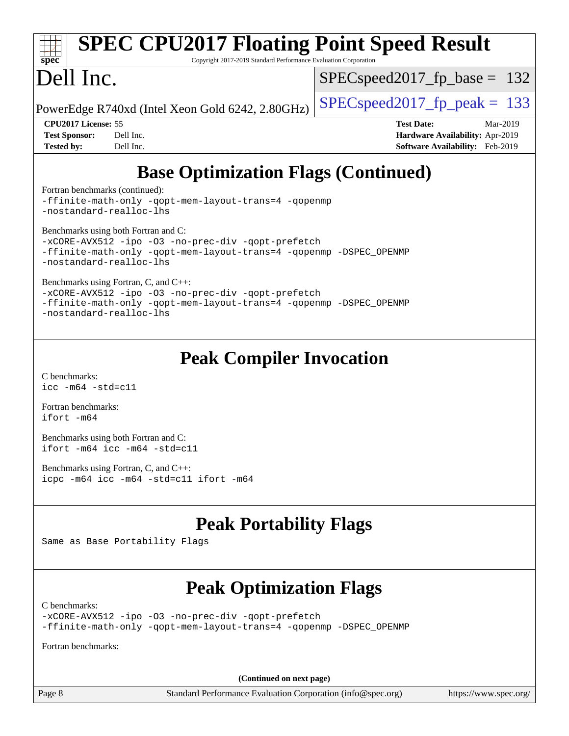# **[spec](http://www.spec.org/)**

# **[SPEC CPU2017 Floating Point Speed Result](http://www.spec.org/auto/cpu2017/Docs/result-fields.html#SPECCPU2017FloatingPointSpeedResult)**

Copyright 2017-2019 Standard Performance Evaluation Corporation

## Dell Inc.

SPECspeed2017 fp base =  $132$ 

PowerEdge R740xd (Intel Xeon Gold 6242, 2.80GHz)  $\left|$  [SPECspeed2017\\_fp\\_peak =](http://www.spec.org/auto/cpu2017/Docs/result-fields.html#SPECspeed2017fppeak) 133

**[Tested by:](http://www.spec.org/auto/cpu2017/Docs/result-fields.html#Testedby)** Dell Inc. **[Software Availability:](http://www.spec.org/auto/cpu2017/Docs/result-fields.html#SoftwareAvailability)** Feb-2019

**[CPU2017 License:](http://www.spec.org/auto/cpu2017/Docs/result-fields.html#CPU2017License)** 55 **[Test Date:](http://www.spec.org/auto/cpu2017/Docs/result-fields.html#TestDate)** Mar-2019 **[Test Sponsor:](http://www.spec.org/auto/cpu2017/Docs/result-fields.html#TestSponsor)** Dell Inc. **[Hardware Availability:](http://www.spec.org/auto/cpu2017/Docs/result-fields.html#HardwareAvailability)** Apr-2019

## **[Base Optimization Flags \(Continued\)](http://www.spec.org/auto/cpu2017/Docs/result-fields.html#BaseOptimizationFlags)**

[Fortran benchmarks](http://www.spec.org/auto/cpu2017/Docs/result-fields.html#Fortranbenchmarks) (continued):

[-ffinite-math-only](http://www.spec.org/cpu2017/results/res2019q3/cpu2017-20190624-15431.flags.html#user_FCbase_f_finite_math_only_cb91587bd2077682c4b38af759c288ed7c732db004271a9512da14a4f8007909a5f1427ecbf1a0fb78ff2a814402c6114ac565ca162485bbcae155b5e4258871) [-qopt-mem-layout-trans=4](http://www.spec.org/cpu2017/results/res2019q3/cpu2017-20190624-15431.flags.html#user_FCbase_f-qopt-mem-layout-trans_fa39e755916c150a61361b7846f310bcdf6f04e385ef281cadf3647acec3f0ae266d1a1d22d972a7087a248fd4e6ca390a3634700869573d231a252c784941a8) [-qopenmp](http://www.spec.org/cpu2017/results/res2019q3/cpu2017-20190624-15431.flags.html#user_FCbase_qopenmp_16be0c44f24f464004c6784a7acb94aca937f053568ce72f94b139a11c7c168634a55f6653758ddd83bcf7b8463e8028bb0b48b77bcddc6b78d5d95bb1df2967) [-nostandard-realloc-lhs](http://www.spec.org/cpu2017/results/res2019q3/cpu2017-20190624-15431.flags.html#user_FCbase_f_2003_std_realloc_82b4557e90729c0f113870c07e44d33d6f5a304b4f63d4c15d2d0f1fab99f5daaed73bdb9275d9ae411527f28b936061aa8b9c8f2d63842963b95c9dd6426b8a)

[Benchmarks using both Fortran and C](http://www.spec.org/auto/cpu2017/Docs/result-fields.html#BenchmarksusingbothFortranandC):

```
-xCORE-AVX512-ipo-no-prec-div-qopt-prefetch
-ffinite-math-only -qopt-mem-layout-trans=4 -qopenmp -DSPEC_OPENMP
-nostandard-realloc-lhs
```
[Benchmarks using Fortran, C, and C++:](http://www.spec.org/auto/cpu2017/Docs/result-fields.html#BenchmarksusingFortranCandCXX)

[-xCORE-AVX512](http://www.spec.org/cpu2017/results/res2019q3/cpu2017-20190624-15431.flags.html#user_CC_CXX_FCbase_f-xCORE-AVX512) [-ipo](http://www.spec.org/cpu2017/results/res2019q3/cpu2017-20190624-15431.flags.html#user_CC_CXX_FCbase_f-ipo) [-O3](http://www.spec.org/cpu2017/results/res2019q3/cpu2017-20190624-15431.flags.html#user_CC_CXX_FCbase_f-O3) [-no-prec-div](http://www.spec.org/cpu2017/results/res2019q3/cpu2017-20190624-15431.flags.html#user_CC_CXX_FCbase_f-no-prec-div) [-qopt-prefetch](http://www.spec.org/cpu2017/results/res2019q3/cpu2017-20190624-15431.flags.html#user_CC_CXX_FCbase_f-qopt-prefetch) [-ffinite-math-only](http://www.spec.org/cpu2017/results/res2019q3/cpu2017-20190624-15431.flags.html#user_CC_CXX_FCbase_f_finite_math_only_cb91587bd2077682c4b38af759c288ed7c732db004271a9512da14a4f8007909a5f1427ecbf1a0fb78ff2a814402c6114ac565ca162485bbcae155b5e4258871) [-qopt-mem-layout-trans=4](http://www.spec.org/cpu2017/results/res2019q3/cpu2017-20190624-15431.flags.html#user_CC_CXX_FCbase_f-qopt-mem-layout-trans_fa39e755916c150a61361b7846f310bcdf6f04e385ef281cadf3647acec3f0ae266d1a1d22d972a7087a248fd4e6ca390a3634700869573d231a252c784941a8) [-qopenmp](http://www.spec.org/cpu2017/results/res2019q3/cpu2017-20190624-15431.flags.html#user_CC_CXX_FCbase_qopenmp_16be0c44f24f464004c6784a7acb94aca937f053568ce72f94b139a11c7c168634a55f6653758ddd83bcf7b8463e8028bb0b48b77bcddc6b78d5d95bb1df2967) [-DSPEC\\_OPENMP](http://www.spec.org/cpu2017/results/res2019q3/cpu2017-20190624-15431.flags.html#suite_CC_CXX_FCbase_DSPEC_OPENMP) [-nostandard-realloc-lhs](http://www.spec.org/cpu2017/results/res2019q3/cpu2017-20190624-15431.flags.html#user_CC_CXX_FCbase_f_2003_std_realloc_82b4557e90729c0f113870c07e44d33d6f5a304b4f63d4c15d2d0f1fab99f5daaed73bdb9275d9ae411527f28b936061aa8b9c8f2d63842963b95c9dd6426b8a)

## **[Peak Compiler Invocation](http://www.spec.org/auto/cpu2017/Docs/result-fields.html#PeakCompilerInvocation)**

[C benchmarks](http://www.spec.org/auto/cpu2017/Docs/result-fields.html#Cbenchmarks): [icc -m64 -std=c11](http://www.spec.org/cpu2017/results/res2019q3/cpu2017-20190624-15431.flags.html#user_CCpeak_intel_icc_64bit_c11_33ee0cdaae7deeeab2a9725423ba97205ce30f63b9926c2519791662299b76a0318f32ddfffdc46587804de3178b4f9328c46fa7c2b0cd779d7a61945c91cd35)

[Fortran benchmarks](http://www.spec.org/auto/cpu2017/Docs/result-fields.html#Fortranbenchmarks): [ifort -m64](http://www.spec.org/cpu2017/results/res2019q3/cpu2017-20190624-15431.flags.html#user_FCpeak_intel_ifort_64bit_24f2bb282fbaeffd6157abe4f878425411749daecae9a33200eee2bee2fe76f3b89351d69a8130dd5949958ce389cf37ff59a95e7a40d588e8d3a57e0c3fd751)

[Benchmarks using both Fortran and C](http://www.spec.org/auto/cpu2017/Docs/result-fields.html#BenchmarksusingbothFortranandC): [ifort -m64](http://www.spec.org/cpu2017/results/res2019q3/cpu2017-20190624-15431.flags.html#user_CC_FCpeak_intel_ifort_64bit_24f2bb282fbaeffd6157abe4f878425411749daecae9a33200eee2bee2fe76f3b89351d69a8130dd5949958ce389cf37ff59a95e7a40d588e8d3a57e0c3fd751) [icc -m64 -std=c11](http://www.spec.org/cpu2017/results/res2019q3/cpu2017-20190624-15431.flags.html#user_CC_FCpeak_intel_icc_64bit_c11_33ee0cdaae7deeeab2a9725423ba97205ce30f63b9926c2519791662299b76a0318f32ddfffdc46587804de3178b4f9328c46fa7c2b0cd779d7a61945c91cd35)

[Benchmarks using Fortran, C, and C++:](http://www.spec.org/auto/cpu2017/Docs/result-fields.html#BenchmarksusingFortranCandCXX) [icpc -m64](http://www.spec.org/cpu2017/results/res2019q3/cpu2017-20190624-15431.flags.html#user_CC_CXX_FCpeak_intel_icpc_64bit_4ecb2543ae3f1412ef961e0650ca070fec7b7afdcd6ed48761b84423119d1bf6bdf5cad15b44d48e7256388bc77273b966e5eb805aefd121eb22e9299b2ec9d9) [icc -m64 -std=c11](http://www.spec.org/cpu2017/results/res2019q3/cpu2017-20190624-15431.flags.html#user_CC_CXX_FCpeak_intel_icc_64bit_c11_33ee0cdaae7deeeab2a9725423ba97205ce30f63b9926c2519791662299b76a0318f32ddfffdc46587804de3178b4f9328c46fa7c2b0cd779d7a61945c91cd35) [ifort -m64](http://www.spec.org/cpu2017/results/res2019q3/cpu2017-20190624-15431.flags.html#user_CC_CXX_FCpeak_intel_ifort_64bit_24f2bb282fbaeffd6157abe4f878425411749daecae9a33200eee2bee2fe76f3b89351d69a8130dd5949958ce389cf37ff59a95e7a40d588e8d3a57e0c3fd751)

## **[Peak Portability Flags](http://www.spec.org/auto/cpu2017/Docs/result-fields.html#PeakPortabilityFlags)**

Same as Base Portability Flags

## **[Peak Optimization Flags](http://www.spec.org/auto/cpu2017/Docs/result-fields.html#PeakOptimizationFlags)**

[C benchmarks](http://www.spec.org/auto/cpu2017/Docs/result-fields.html#Cbenchmarks):

[-xCORE-AVX512](http://www.spec.org/cpu2017/results/res2019q3/cpu2017-20190624-15431.flags.html#user_CCpeak_f-xCORE-AVX512) [-ipo](http://www.spec.org/cpu2017/results/res2019q3/cpu2017-20190624-15431.flags.html#user_CCpeak_f-ipo) [-O3](http://www.spec.org/cpu2017/results/res2019q3/cpu2017-20190624-15431.flags.html#user_CCpeak_f-O3) [-no-prec-div](http://www.spec.org/cpu2017/results/res2019q3/cpu2017-20190624-15431.flags.html#user_CCpeak_f-no-prec-div) [-qopt-prefetch](http://www.spec.org/cpu2017/results/res2019q3/cpu2017-20190624-15431.flags.html#user_CCpeak_f-qopt-prefetch) [-ffinite-math-only](http://www.spec.org/cpu2017/results/res2019q3/cpu2017-20190624-15431.flags.html#user_CCpeak_f_finite_math_only_cb91587bd2077682c4b38af759c288ed7c732db004271a9512da14a4f8007909a5f1427ecbf1a0fb78ff2a814402c6114ac565ca162485bbcae155b5e4258871) [-qopt-mem-layout-trans=4](http://www.spec.org/cpu2017/results/res2019q3/cpu2017-20190624-15431.flags.html#user_CCpeak_f-qopt-mem-layout-trans_fa39e755916c150a61361b7846f310bcdf6f04e385ef281cadf3647acec3f0ae266d1a1d22d972a7087a248fd4e6ca390a3634700869573d231a252c784941a8) [-qopenmp](http://www.spec.org/cpu2017/results/res2019q3/cpu2017-20190624-15431.flags.html#user_CCpeak_qopenmp_16be0c44f24f464004c6784a7acb94aca937f053568ce72f94b139a11c7c168634a55f6653758ddd83bcf7b8463e8028bb0b48b77bcddc6b78d5d95bb1df2967) [-DSPEC\\_OPENMP](http://www.spec.org/cpu2017/results/res2019q3/cpu2017-20190624-15431.flags.html#suite_CCpeak_DSPEC_OPENMP)

[Fortran benchmarks](http://www.spec.org/auto/cpu2017/Docs/result-fields.html#Fortranbenchmarks):

**(Continued on next page)**

Page 8 Standard Performance Evaluation Corporation [\(info@spec.org\)](mailto:info@spec.org) <https://www.spec.org/>